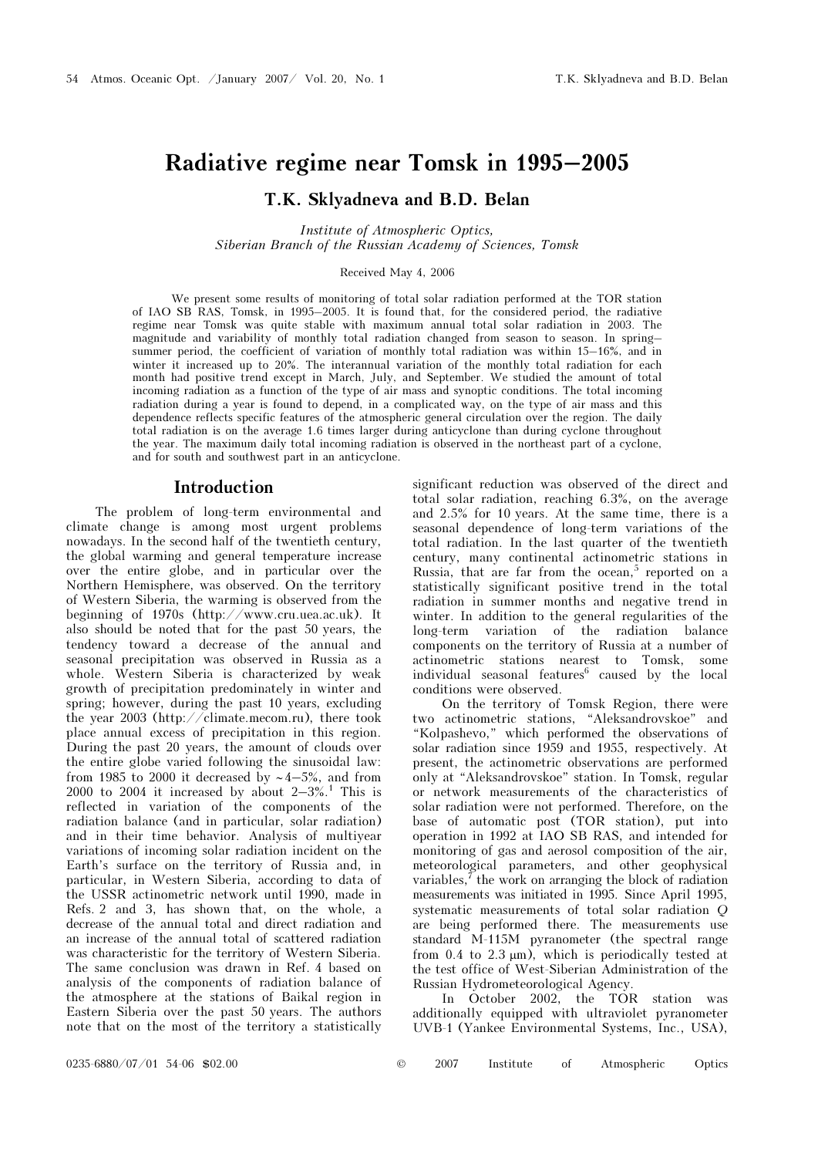# Radiative regime near Tomsk in 1995–2005

# T.K. Sklyadneva and B.D. Belan

Institute of Atmospheric Optics, Siberian Branch of the Russian Academy of Sciences, Tomsk

#### Received May 4, 2006

We present some results of monitoring of total solar radiation performed at the TOR station of IAO SB RAS, Tomsk, in 1995–2005. It is found that, for the considered period, the radiative regime near Tomsk was quite stable with maximum annual total solar radiation in 2003. The magnitude and variability of monthly total radiation changed from season to season. In spring– summer period, the coefficient of variation of monthly total radiation was within 15–16%, and in winter it increased up to 20%. The interannual variation of the monthly total radiation for each month had positive trend except in March, July, and September. We studied the amount of total incoming radiation as a function of the type of air mass and synoptic conditions. The total incoming radiation during a year is found to depend, in a complicated way, on the type of air mass and this dependence reflects specific features of the atmospheric general circulation over the region. The daily total radiation is on the average 1.6 times larger during anticyclone than during cyclone throughout the year. The maximum daily total incoming radiation is observed in the northeast part of a cyclone, and for south and southwest part in an anticyclone.

## Introduction

The problem of long-term environmental and climate change is among most urgent problems nowadays. In the second half of the twentieth century, the global warming and general temperature increase over the entire globe, and in particular over the Northern Hemisphere, was observed. On the territory of Western Siberia, the warming is observed from the beginning of 1970s (http://www.cru.uea.ac.uk). It also should be noted that for the past 50 years, the tendency toward a decrease of the annual and seasonal precipitation was observed in Russia as a whole. Western Siberia is characterized by weak growth of precipitation predominately in winter and spring; however, during the past 10 years, excluding the year 2003 (http://climate.mecom.ru), there took place annual excess of precipitation in this region. During the past 20 years, the amount of clouds over the entire globe varied following the sinusoidal law: from 1985 to 2000 it decreased by ~4–5%, and from 2000 to 2004 it increased by about  $2-3\%$ .<sup>1</sup> This is reflected in variation of the components of the radiation balance (and in particular, solar radiation) and in their time behavior. Analysis of multiyear variations of incoming solar radiation incident on the Earth's surface on the territory of Russia and, in particular, in Western Siberia, according to data of the USSR actinometric network until 1990, made in Refs. 2 and 3, has shown that, on the whole, a decrease of the annual total and direct radiation and an increase of the annual total of scattered radiation was characteristic for the territory of Western Siberia. The same conclusion was drawn in Ref. 4 based on analysis of the components of radiation balance of the atmosphere at the stations of Baikal region in Eastern Siberia over the past 50 years. The authors note that on the most of the territory a statistically

significant reduction was observed of the direct and total solar radiation, reaching 6.3%, on the average and 2.5% for 10 years. At the same time, there is a seasonal dependence of long-term variations of the total radiation. In the last quarter of the twentieth century, many continental actinometric stations in Russia, that are far from the ocean,<sup>5</sup> reported on a statistically significant positive trend in the total radiation in summer months and negative trend in winter. In addition to the general regularities of the long-term variation of the radiation balance components on the territory of Russia at a number of actinometric stations nearest to Tomsk, some individual seasonal features<sup>6</sup> caused by the local conditions were observed.

On the territory of Tomsk Region, there were two actinometric stations, "Aleksandrovskoe" and "Kolpashevo," which performed the observations of solar radiation since 1959 and 1955, respectively. At present, the actinometric observations are performed only at "Aleksandrovskoe" station. In Tomsk, regular or network measurements of the characteristics of solar radiation were not performed. Therefore, on the base of automatic post (TOR station), put into operation in 1992 at IAO SB RAS, and intended for monitoring of gas and aerosol composition of the air, meteorological parameters, and other geophysical variables,  $\vec{r}$  the work on arranging the block of radiation measurements was initiated in 1995. Since April 1995, systematic measurements of total solar radiation Q are being performed there. The measurements use standard M-115M pyranometer (the spectral range from  $0.4$  to  $2.3 \mu m$ ), which is periodically tested at the test office of West-Siberian Administration of the Russian Hydrometeorological Agency.

In October 2002, the TOR station was additionally equipped with ultraviolet pyranometer UVB-1 (Yankee Environmental Systems, Inc., USA),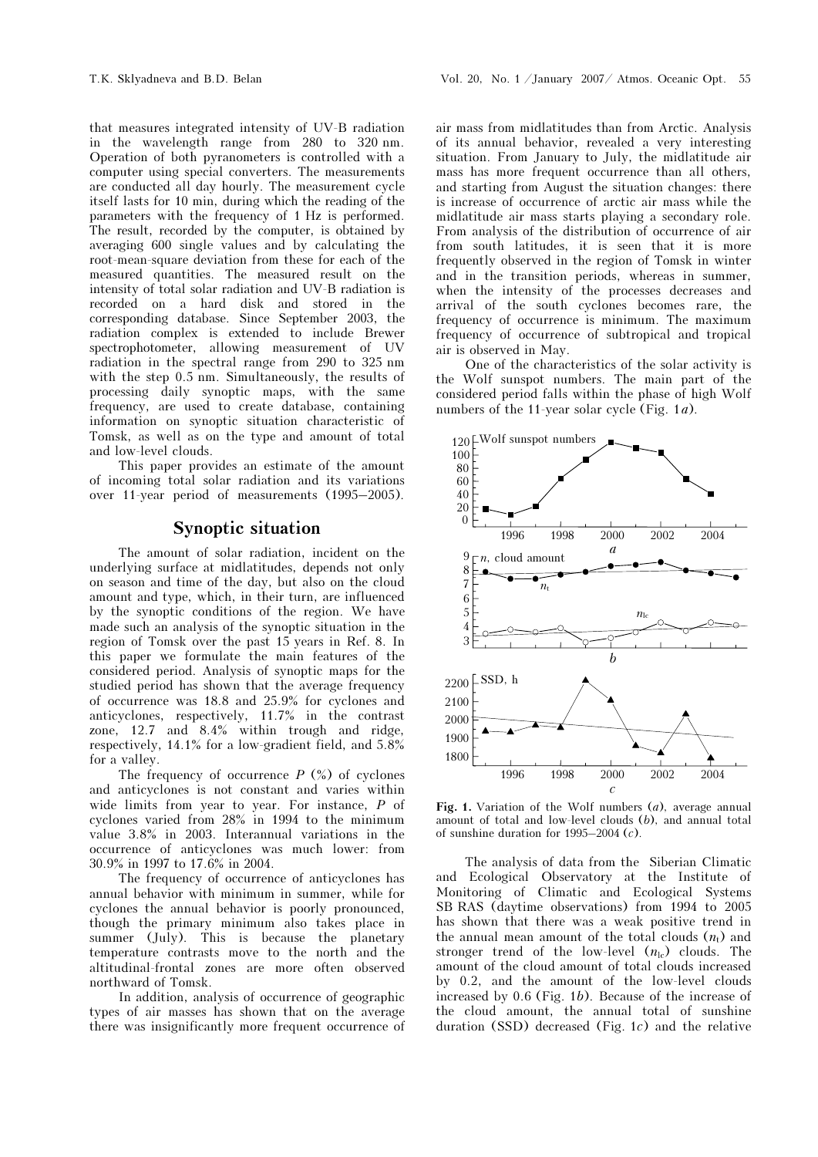that measures integrated intensity of UV-B radiation in the wavelength range from 280 to 320 nm. Operation of both pyranometers is controlled with a computer using special converters. The measurements are conducted all day hourly. The measurement cycle itself lasts for 10 min, during which the reading of the parameters with the frequency of 1 Hz is performed. The result, recorded by the computer, is obtained by averaging 600 single values and by calculating the root-mean-square deviation from these for each of the measured quantities. The measured result on the intensity of total solar radiation and UV-B radiation is recorded on a hard disk and stored in the corresponding database. Since September 2003, the radiation complex is extended to include Brewer spectrophotometer, allowing measurement of UV radiation in the spectral range from 290 to 325 nm with the step 0.5 nm. Simultaneously, the results of processing daily synoptic maps, with the same frequency, are used to create database, containing information on synoptic situation characteristic of Tomsk, as well as on the type and amount of total and low-level clouds.

This paper provides an estimate of the amount of incoming total solar radiation and its variations over 11-year period of measurements (1995–2005).

# Synoptic situation

The amount of solar radiation, incident on the underlying surface at midlatitudes, depends not only on season and time of the day, but also on the cloud amount and type, which, in their turn, are influenced by the synoptic conditions of the region. We have made such an analysis of the synoptic situation in the region of Tomsk over the past 15 years in Ref. 8. In this paper we formulate the main features of the considered period. Analysis of synoptic maps for the studied period has shown that the average frequency of occurrence was 18.8 and 25.9% for cyclones and anticyclones, respectively, 11.7% in the contrast zone, 12.7 and 8.4% within trough and ridge, respectively, 14.1% for a low-gradient field, and 5.8% for a valley.

The frequency of occurrence  $P$  (%) of cyclones and anticyclones is not constant and varies within wide limits from year to year. For instance,  $P$  of cyclones varied from 28% in 1994 to the minimum value 3.8% in 2003. Interannual variations in the occurrence of anticyclones was much lower: from 30.9% in 1997 to 17.6% in 2004.

The frequency of occurrence of anticyclones has annual behavior with minimum in summer, while for cyclones the annual behavior is poorly pronounced, though the primary minimum also takes place in summer (July). This is because the planetary temperature contrasts move to the north and the altitudinal-frontal zones are more often observed northward of Tomsk.

In addition, analysis of occurrence of geographic types of air masses has shown that on the average there was insignificantly more frequent occurrence of air mass from midlatitudes than from Arctic. Analysis of its annual behavior, revealed a very interesting situation. From January to July, the midlatitude air mass has more frequent occurrence than all others, and starting from August the situation changes: there is increase of occurrence of arctic air mass while the midlatitude air mass starts playing a secondary role. From analysis of the distribution of occurrence of air from south latitudes, it is seen that it is more frequently observed in the region of Tomsk in winter and in the transition periods, whereas in summer, when the intensity of the processes decreases and arrival of the south cyclones becomes rare, the frequency of occurrence is minimum. The maximum frequency of occurrence of subtropical and tropical air is observed in May.

One of the characteristics of the solar activity is the Wolf sunspot numbers. The main part of the considered period falls within the phase of high Wolf numbers of the 11-year solar cycle (Fig.  $1a$ ).



Fig. 1. Variation of the Wolf numbers  $(a)$ , average annual amount of total and low-level clouds (b), and annual total of sunshine duration for 1995–2004 (c).

The analysis of data from the Siberian Climatic and Ecological Observatory at the Institute of Monitoring of Climatic and Ecological Systems SB RAS (daytime observations) from 1994 to 2005 has shown that there was a weak positive trend in the annual mean amount of the total clouds  $(n_t)$  and stronger trend of the low-level  $(n_{\rm lc})$  clouds. The amount of the cloud amount of total clouds increased by 0.2, and the amount of the low-level clouds increased by 0.6 (Fig. 1b). Because of the increase of the cloud amount, the annual total of sunshine duration (SSD) decreased (Fig. 1c) and the relative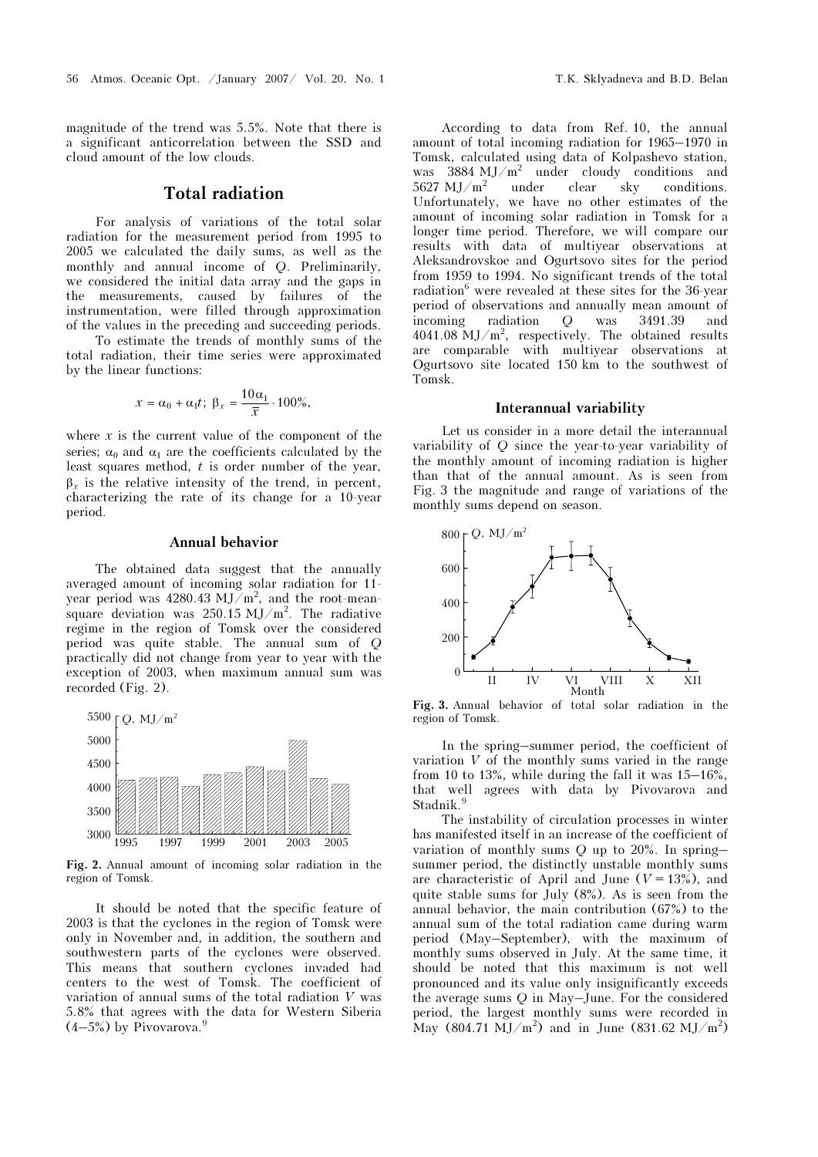magnitude of the trend was 5.5%. Note that there is a significant anticorrelation between the SSD and cloud amount of the low clouds.

# Total radiation

For analysis of variations of the total solar radiation for the measurement period from 1995 to 2005 we calculated the daily sums, as well as the monthly and annual income of Q. Preliminarily, we considered the initial data array and the gaps in the measurements, caused by failures of the instrumentation, were filled through approximation of the values in the preceding and succeeding periods.

 To estimate the trends of monthly sums of the total radiation, their time series were approximated by the linear functions:

$$
x = \alpha_0 + \alpha_1 t; \ \beta_x = \frac{10\alpha_1}{\overline{x}} \cdot 100\%,
$$

where  $x$  is the current value of the component of the series;  $\alpha_0$  and  $\alpha_1$  are the coefficients calculated by the least squares method,  $t$  is order number of the year,  $\beta_r$  is the relative intensity of the trend, in percent, characterizing the rate of its change for a 10-year period.

#### Annual behavior

The obtained data suggest that the annually averaged amount of incoming solar radiation for 11 year period was 4280.43 MJ/m<sup>2</sup>, and the root-meansquare deviation was  $250.15 \text{ MJ/m}^2$ . The radiative regime in the region of Tomsk over the considered period was quite stable. The annual sum of Q practically did not change from year to year with the exception of 2003, when maximum annual sum was recorded (Fig. 2).



Fig. 2. Annual amount of incoming solar radiation in the region of Tomsk.

It should be noted that the specific feature of 2003 is that the cyclones in the region of Tomsk were only in November and, in addition, the southern and southwestern parts of the cyclones were observed. This means that southern cyclones invaded had centers to the west of Tomsk. The coefficient of variation of annual sums of the total radiation V was 5.8% that agrees with the data for Western Siberia  $(4-5%)$  by Pivovarova.<sup>9</sup>

According to data from Ref. 10, the annual amount of total incoming radiation for 1965–1970 in Tomsk, calculated using data of Kolpashevo station, was 3884 MJ/m<sup>2</sup> under cloudy conditions and 5627 MJ/ $m^2$  under clear sky conditions. Unfortunately, we have no other estimates of the amount of incoming solar radiation in Tomsk for a longer time period. Therefore, we will compare our results with data of multiyear observations at Aleksandrovskoe and Ogurtsovo sites for the period from 1959 to 1994. No significant trends of the total radiation<sup>6</sup> were revealed at these sites for the 36-year period of observations and annually mean amount of incoming radiation Q was 3491.39 and  $4041.08 \text{ MJ/m}^2$ , respectively. The obtained results are comparable with multiyear observations at Ogurtsovo site located 150 km to the southwest of Tomsk.

#### Interannual variability

Let us consider in a more detail the interannual variability of Q since the year-to-year variability of the monthly amount of incoming radiation is higher than that of the annual amount. As is seen from Fig. 3 the magnitude and range of variations of the monthly sums depend on season.



Fig. 3. Annual behavior of total solar radiation in the region of Tomsk.

In the spring–summer period, the coefficient of variation V of the monthly sums varied in the range from 10 to 13%, while during the fall it was  $15-16\%$ . that well agrees with data by Pivovarova and Stadnik.<sup>9</sup>

The instability of circulation processes in winter has manifested itself in an increase of the coefficient of variation of monthly sums  $Q$  up to 20%. In spring– summer period, the distinctly unstable monthly sums are characteristic of April and June ( $V = 13\%$ ), and quite stable sums for July  $(8\%)$ . As is seen from the annual behavior, the main contribution (67%) to the annual sum of the total radiation came during warm period (May–September), with the maximum of monthly sums observed in July. At the same time, it should be noted that this maximum is not well pronounced and its value only insignificantly exceeds the average sums Q in May–June. For the considered period, the largest monthly sums were recorded in May  $(804.71 \text{ MJ/m}^2)$  and in June  $(831.62 \text{ MJ/m}^2)$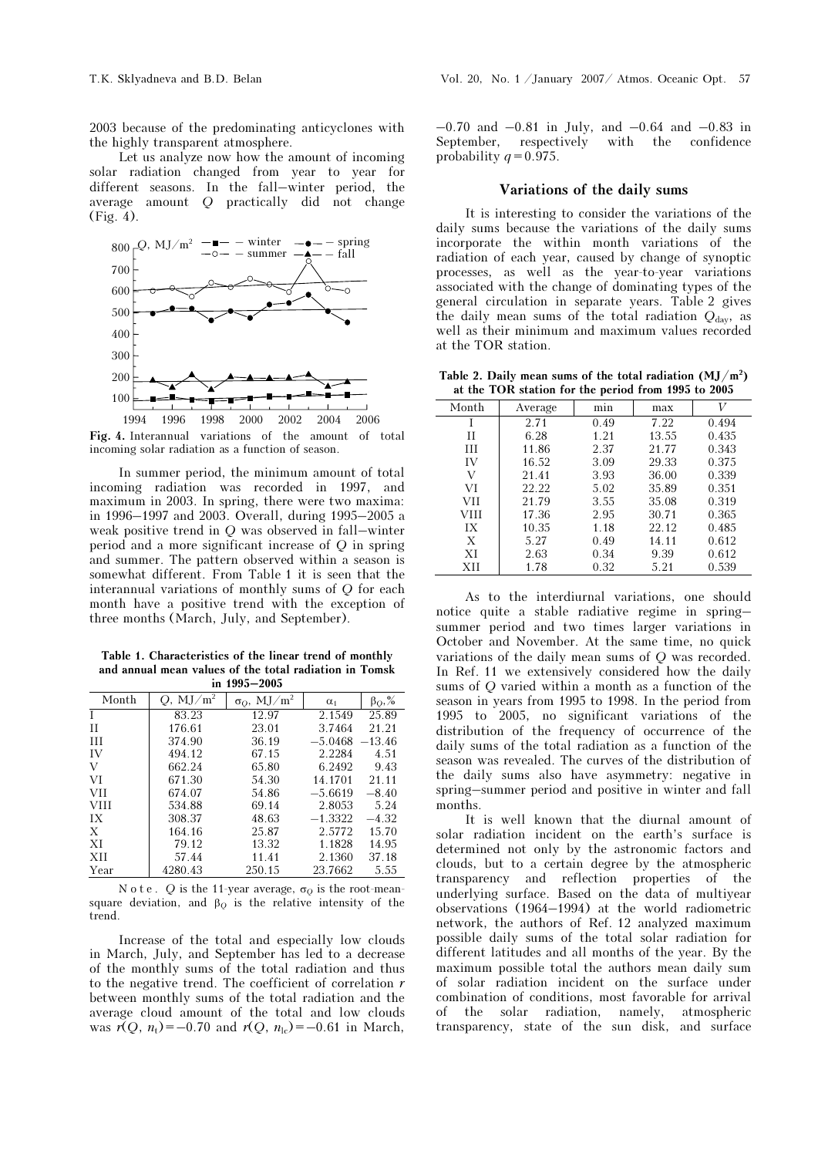2003 because of the predominating anticyclones with the highly transparent atmosphere.

Let us analyze now how the amount of incoming solar radiation changed from year to year for different seasons. In the fall–winter period, the average amount Q practically did not change (Fig. 4).



Fig. 4. Interannual variations of the amount of total incoming solar radiation as a function of season.

In summer period, the minimum amount of total incoming radiation was recorded in 1997, and maximum in 2003. In spring, there were two maxima: in 1996–1997 and 2003. Overall, during 1995–2005 a weak positive trend in Q was observed in fall–winter period and a more significant increase of Q in spring and summer. The pattern observed within a season is somewhat different. From Table 1 it is seen that the interannual variations of monthly sums of Q for each month have a positive trend with the exception of three months (March, July, and September).

Table 1. Characteristics of the linear trend of monthly and annual mean values of the total radiation in Tomsk in 1995–2005

| Month       | $Q$ , MJ/m <sup>2</sup> | $\sigma_Q,~{\rm MJ/m^2}$ | $\alpha_1$ | $\beta_Q, \%$ |
|-------------|-------------------------|--------------------------|------------|---------------|
| Τ           | 83.23                   | 12.97                    | 2.1549     | 25.89         |
| H           | 176.61                  | 23.01                    | 3.7464     | 21.21         |
| H           | 374.90                  | 36.19                    | $-5.0468$  | $-13.46$      |
| IV          | 494.12                  | 67.15                    | 2.2284     | 4.51          |
| V           | 662.24                  | 65.80                    | 6.2492     | 9.43          |
| VI          | 671.30                  | 54.30                    | 14.1701    | 21.11         |
| VII         | 674.07                  | 54.86                    | $-5.6619$  | $-8.40$       |
| <b>VIII</b> | 534.88                  | 69.14                    | 2.8053     | 5.24          |
| IX          | 308.37                  | 48.63                    | $-1.3322$  | $-4.32$       |
| X           | 164.16                  | 25.87                    | 2.5772     | 15.70         |
| XI          | 79.12                   | 13.32                    | 1.1828     | 14.95         |
| XH          | 57.44                   | 11.41                    | 2.1360     | 37.18         |
| Year        | 4280.43                 | 250.15                   | 23.7662    | 5.55          |

Note. Q is the 11-year average,  $\sigma_Q$  is the root-meansquare deviation, and  $\beta_Q$  is the relative intensity of the trend.

Increase of the total and especially low clouds in March, July, and September has led to a decrease of the monthly sums of the total radiation and thus to the negative trend. The coefficient of correlation  $r$ between monthly sums of the total radiation and the average cloud amount of the total and low clouds was  $r(Q, n_t) = -0.70$  and  $r(Q, n_{\text{lc}}) = -0.61$  in March,

 $-0.70$  and  $-0.81$  in July, and  $-0.64$  and  $-0.83$  in September, respectively with the confidence probability  $q = 0.975$ .

### Variations of the daily sums

It is interesting to consider the variations of the daily sums because the variations of the daily sums incorporate the within month variations of the radiation of each year, caused by change of synoptic processes, as well as the year-to-year variations associated with the change of dominating types of the general circulation in separate years. Table 2 gives the daily mean sums of the total radiation  $Q_{\text{day}}$ , as well as their minimum and maximum values recorded at the TOR station.

Table 2. Daily mean sums of the total radiation  $(MJ/m^2)$ at the TOR station for the period from 1995 to 2005

| at the 1910 station for the period from 1000 to 2000 |         |      |       |       |  |  |
|------------------------------------------------------|---------|------|-------|-------|--|--|
| Month                                                | Average | min  | max   | V     |  |  |
| I                                                    | 2.71    | 0.49 | 7.22  | 0.494 |  |  |
| П                                                    | 6.28    | 1.21 | 13.55 | 0.435 |  |  |
| Ħ                                                    | 11.86   | 2.37 | 21.77 | 0.343 |  |  |
| IV                                                   | 16.52   | 3.09 | 29.33 | 0.375 |  |  |
| V                                                    | 21.41   | 3.93 | 36.00 | 0.339 |  |  |
| VI                                                   | 22.22   | 5.02 | 35.89 | 0.351 |  |  |
| <b>VII</b>                                           | 21.79   | 3.55 | 35.08 | 0.319 |  |  |
| VHI                                                  | 17.36   | 2.95 | 30.71 | 0.365 |  |  |
| IX                                                   | 10.35   | 1.18 | 22.12 | 0.485 |  |  |
| X                                                    | 5.27    | 0.49 | 14.11 | 0.612 |  |  |
| XI                                                   | 2.63    | 0.34 | 9.39  | 0.612 |  |  |
| XН                                                   | 1.78    | 0.32 | 5.21  | 0.539 |  |  |

As to the interdiurnal variations, one should notice quite a stable radiative regime in spring– summer period and two times larger variations in October and November. At the same time, no quick variations of the daily mean sums of Q was recorded. In Ref. 11 we extensively considered how the daily sums of Q varied within a month as a function of the season in years from 1995 to 1998. In the period from 1995 to 2005, no significant variations of the distribution of the frequency of occurrence of the daily sums of the total radiation as a function of the season was revealed. The curves of the distribution of the daily sums also have asymmetry: negative in spring–summer period and positive in winter and fall months.

It is well known that the diurnal amount of solar radiation incident on the earth's surface is determined not only by the astronomic factors and clouds, but to a certain degree by the atmospheric transparency and reflection properties of the underlying surface. Based on the data of multiyear observations (1964–1994) at the world radiometric network, the authors of Ref. 12 analyzed maximum possible daily sums of the total solar radiation for different latitudes and all months of the year. By the maximum possible total the authors mean daily sum of solar radiation incident on the surface under combination of conditions, most favorable for arrival of the solar radiation, namely, atmospheric transparency, state of the sun disk, and surface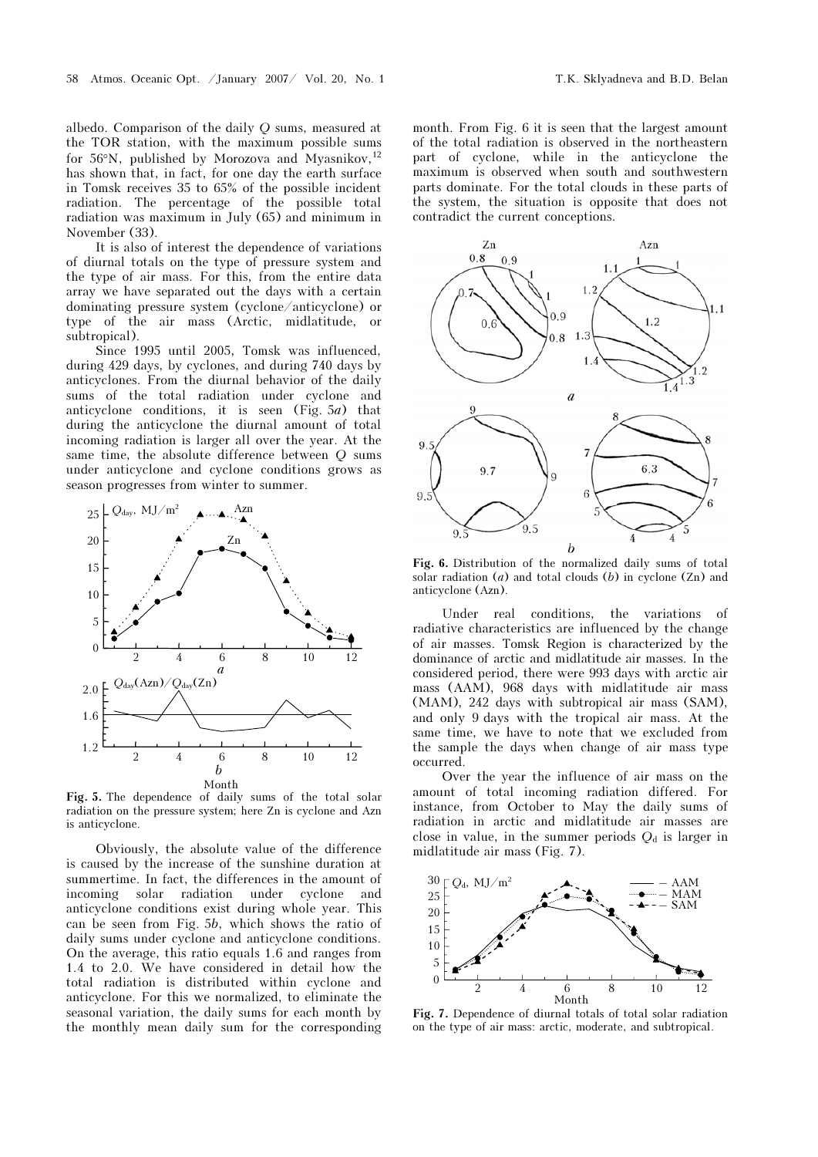albedo. Comparison of the daily Q sums, measured at the TOR station, with the maximum possible sums for 56 $\degree$ N, published by Morozova and Myasnikov,<sup>12</sup> has shown that, in fact, for one day the earth surface in Tomsk receives 35 to 65% of the possible incident radiation. The percentage of the possible total radiation was maximum in July (65) and minimum in November (33).

It is also of interest the dependence of variations of diurnal totals on the type of pressure system and the type of air mass. For this, from the entire data array we have separated out the days with a certain dominating pressure system (cyclone/anticyclone) or type of the air mass (Arctic, midlatitude, or subtropical).

Since 1995 until 2005, Tomsk was influenced, during 429 days, by cyclones, and during 740 days by anticyclones. From the diurnal behavior of the daily sums of the total radiation under cyclone and anticyclone conditions, it is seen (Fig.  $5a$ ) that during the anticyclone the diurnal amount of total incoming radiation is larger all over the year. At the same time, the absolute difference between Q sums under anticyclone and cyclone conditions grows as season progresses from winter to summer.



Fig. 5. The dependence of daily sums of the total solar radiation on the pressure system; here Zn is cyclone and Azn is anticyclone.

Obviously, the absolute value of the difference is caused by the increase of the sunshine duration at summertime. In fact, the differences in the amount of incoming solar radiation under cyclone and anticyclone conditions exist during whole year. This can be seen from Fig. 5b, which shows the ratio of daily sums under cyclone and anticyclone conditions. On the average, this ratio equals 1.6 and ranges from 1.4 to 2.0. We have considered in detail how the total radiation is distributed within cyclone and anticyclone. For this we normalized, to eliminate the seasonal variation, the daily sums for each month by the monthly mean daily sum for the corresponding month. From Fig. 6 it is seen that the largest amount of the total radiation is observed in the northeastern part of cyclone, while in the anticyclone the maximum is observed when south and southwestern parts dominate. For the total clouds in these parts of the system, the situation is opposite that does not contradict the current conceptions.



Fig. 6. Distribution of the normalized daily sums of total solar radiation  $(a)$  and total clouds  $(b)$  in cyclone  $(Zn)$  and anticyclone (Azn).

Under real conditions, the variations of radiative characteristics are influenced by the change of air masses. Tomsk Region is characterized by the dominance of arctic and midlatitude air masses. In the considered period, there were 993 days with arctic air mass (AAM), 968 days with midlatitude air mass (MAM), 242 days with subtropical air mass (SAM), and only 9 days with the tropical air mass. At the same time, we have to note that we excluded from the sample the days when change of air mass type occurred.

Over the year the influence of air mass on the amount of total incoming radiation differed. For instance, from October to May the daily sums of radiation in arctic and midlatitude air masses are close in value, in the summer periods  $Q_d$  is larger in midlatitude air mass (Fig. 7).



Fig. 7. Dependence of diurnal totals of total solar radiation on the type of air mass: arctic, moderate, and subtropical.